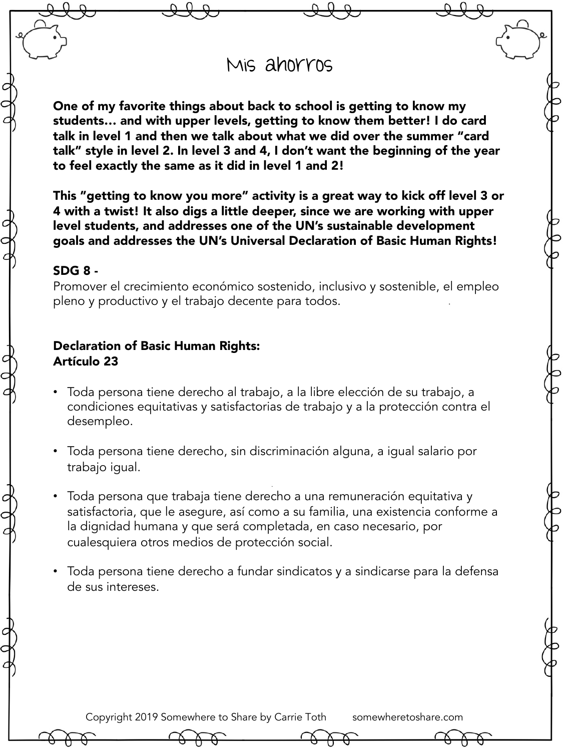## Mis ahorros

One of my favorite things about back to school is getting to know my students… and with upper levels, getting to know them better! I do card talk in level 1 and then we talk about what we did over the summer "card talk" style in level 2. In level 3 and 4, I don't want the beginning of the year to feel exactly the same as it did in level 1 and 2!

This "getting to know you more" activity is a great way to kick off level 3 or 4 with a twist! It also digs a little deeper, since we are working with upper level students, and addresses one of the UN's sustainable development goals and addresses the UN's Universal Declaration of Basic Human Rights!

## SDG 8 -

Promover el crecimiento económico sostenido, inclusivo y sostenible, el empleo pleno y productivo y el trabajo decente para todos.

## Declaration of Basic Human Rights: Artículo 23

- Toda persona tiene derecho al trabajo, a la libre elección de su trabajo, a condiciones equitativas y satisfactorias de trabajo y a la protección contra el desempleo.
- Toda persona tiene derecho, sin discriminación alguna, a igual salario por trabajo igual.
- Toda persona que trabaja tiene derecho a una remuneración equitativa y satisfactoria, que le asegure, así como a su familia, una existencia conforme a la dignidad humana y que será completada, en caso necesario, por cualesquiera otros medios de protección social.
- Toda persona tiene derecho a fundar sindicatos y a sindicarse para la defensa de sus intereses.

Copyright 2019 Somewhere to Share by Carrie Toth somewheretoshare.com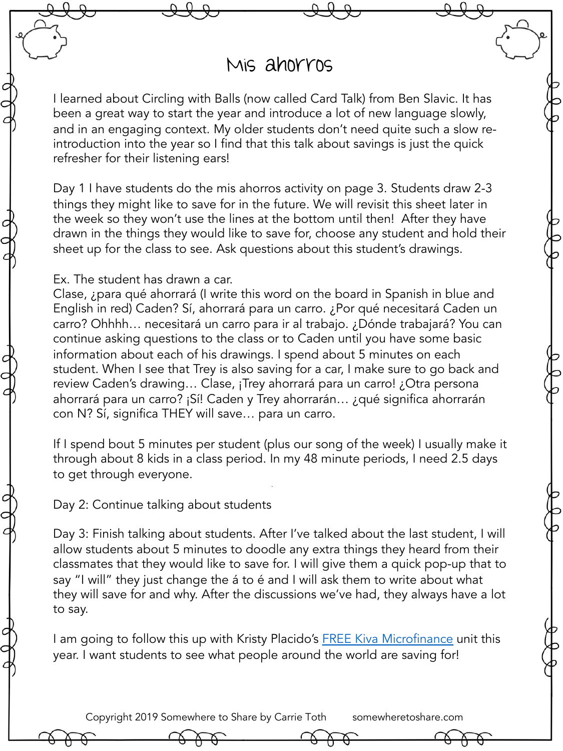## Mis ahorros

I learned about Circling with Balls (now called Card Talk) from Ben Slavic. It has been a great way to start the year and introduce a lot of new language slowly, and in an engaging context. My older students don't need quite such a slow reintroduction into the year so I find that this talk about savings is just the quick refresher for their listening ears!

Day 1 I have students do the mis ahorros activity on page 3. Students draw 2-3 things they might like to save for in the future. We will revisit this sheet later in the week so they won't use the lines at the bottom until then! After they have drawn in the things they would like to save for, choose any student and hold their sheet up for the class to see. Ask questions about this student's drawings.

Ex. The student has drawn a car.

Clase, ¿para qué ahorrará (I write this word on the board in Spanish in blue and English in red) Caden? Sí, ahorrará para un carro. ¿Por qué necesitará Caden un carro? Ohhhh… necesitará un carro para ir al trabajo. ¿Dónde trabajará? You can continue asking questions to the class or to Caden until you have some basic information about each of his drawings. I spend about 5 minutes on each student. When I see that Trey is also saving for a car, I make sure to go back and review Caden's drawing… Clase, ¡Trey ahorrará para un carro! ¿Otra persona ahorrará para un carro? ¡Sí! Caden y Trey ahorrarán… ¿qué significa ahorrarán con N? Sí, significa THEY will save… para un carro.

If I spend bout 5 minutes per student (plus our song of the week) I usually make it through about 8 kids in a class period. In my 48 minute periods, I need 2.5 days to get through everyone.

Day 2: Continue talking about students

Day 3: Finish talking about students. After I've talked about the last student, I will allow students about 5 minutes to doodle any extra things they heard from their classmates that they would like to save for. I will give them a quick pop-up that to say "I will" they just change the á to é and I will ask them to write about what they will save for and why. After the discussions we've had, they always have a lot to say.

I am going to follow this up with Kristy Placido's **FREE Kiva [Microfinance](https://www.teacherspayteachers.com/Product/Kiva-Microfinance-Unit-Vocabulary-and-Borrower-Gallery-Walk-Reading-Activity-2286407)** unit this year. I want students to see what people around the world are saving for!

Copyright 2019 Somewhere to Share by Carrie Toth somewheretoshare.com